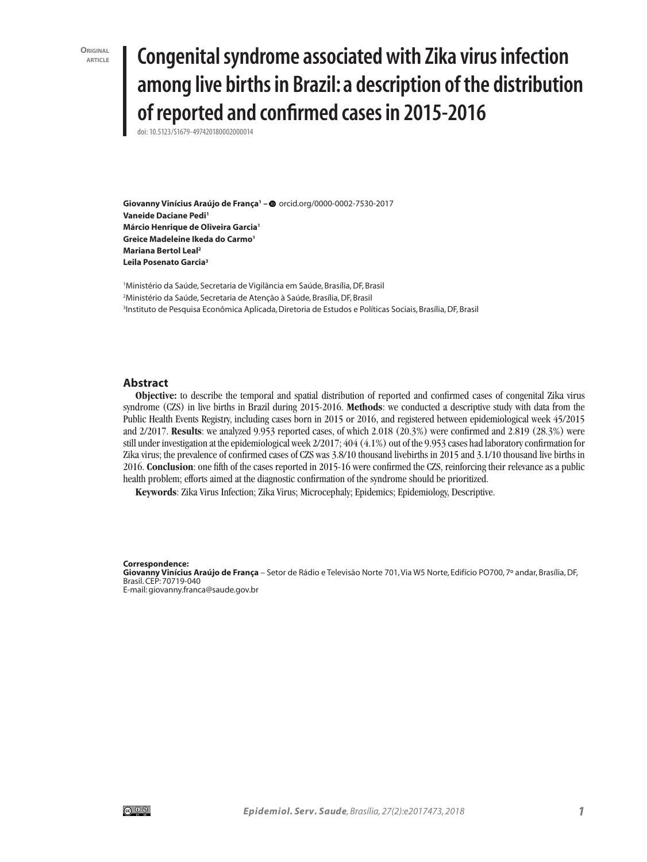**ORIGINAL**<br>**ARTICI F** 

# **article Congenital syndrome associated with Zika virus infection among live births in Brazil: a description of the distribution of reported and confirmed cases in 2015-2016**

doi: 10.5123/S1679-497420180002000014

**Giovanny Vinícius Araújo de França1 –** orcid.org/0000-0002-7530-2017 **Vaneide Daciane Pedi<sup>1</sup> Márcio Henrique de Oliveira Garcia1 Greice Madeleine Ikeda do Carmo1 Mariana Bertol Leal2 Leila Posenato Garcia3**

1 Ministério da Saúde, Secretaria de Vigilância em Saúde, Brasília, DF, Brasil 2 Ministério da Saúde, Secretaria de Atenção à Saúde, Brasília, DF, Brasil 3 Instituto de Pesquisa Econômica Aplicada, Diretoria de Estudos e Políticas Sociais, Brasília, DF, Brasil

#### **Abstract**

**Objective:** to describe the temporal and spatial distribution of reported and confirmed cases of congenital Zika virus syndrome (CZS) in live births in Brazil during 2015-2016. **Methods**: we conducted a descriptive study with data from the Public Health Events Registry, including cases born in 2015 or 2016, and registered between epidemiological week 45/2015 and 2/2017. **Results**: we analyzed 9.953 reported cases, of which 2.018 (20.3%) were confirmed and 2.819 (28.3%) were still under investigation at the epidemiological week 2/2017; 404 (4.1%) out of the 9.953 cases had laboratory confirmation for Zika virus; the prevalence of confirmed cases of CZS was 3.8/10 thousand livebirths in 2015 and 3.1/10 thousand live births in 2016. **Conclusion**: one fifth of the cases reported in 2015-16 were confirmed the CZS, reinforcing their relevance as a public health problem; efforts aimed at the diagnostic confirmation of the syndrome should be prioritized.

**Keywords**: Zika Virus Infection; Zika Virus; Microcephaly; Epidemics; Epidemiology, Descriptive.

#### **Correspondence:**

**Giovanny Vinícius Araújo de França** – Setor de Rádio e Televisão Norte 701, Via W5 Norte, Edifício PO700, 7º andar, Brasília, DF, Brasil. CEP: 70719-040

E-mail: giovanny.franca@saude.gov.br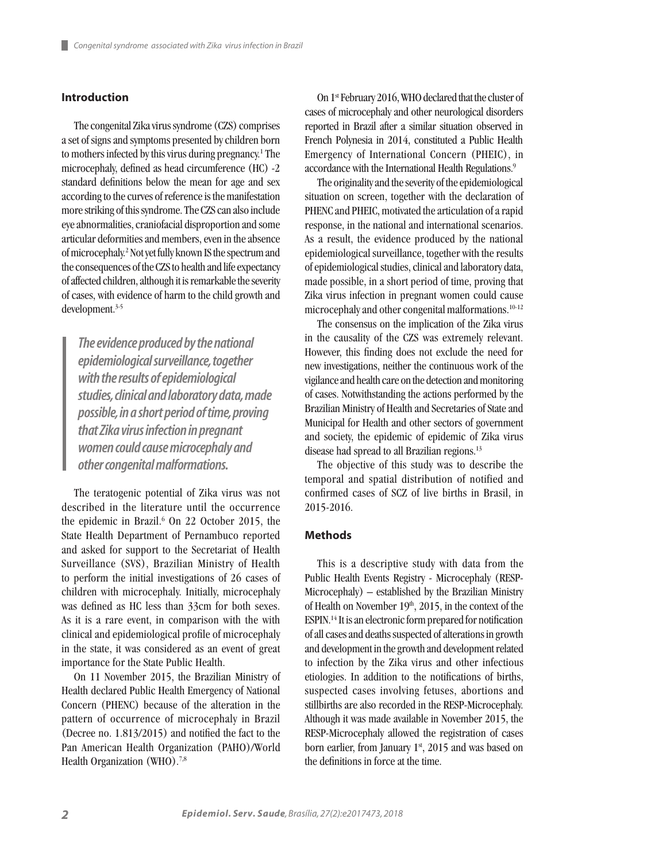# **Introduction**

The congenital Zika virus syndrome (CZS) comprises a set of signs and symptoms presented by children born to mothers infected by this virus during pregnancy.<sup>1</sup> The microcephaly, defined as head circumference (HC) -2 standard definitions below the mean for age and sex according to the curves of reference is the manifestation more striking of this syndrome. The CZS can also include eye abnormalities, craniofacial disproportion and some articular deformities and members, even in the absence of microcephaly.2 Not yet fully known IS the spectrum and the consequences of the CZS to health and life expectancy of affected children, although it is remarkable the severity of cases, with evidence of harm to the child growth and development.3-5

*The evidence produced by the national epidemiological surveillance, together with the results of epidemiological studies, clinical and laboratory data, made possible, in a short period of time, proving that Zika virus infection in pregnant women could cause microcephaly and other congenital malformations.*

The teratogenic potential of Zika virus was not described in the literature until the occurrence the epidemic in Brazil.<sup>6</sup> On 22 October 2015, the State Health Department of Pernambuco reported and asked for support to the Secretariat of Health Surveillance (SVS), Brazilian Ministry of Health to perform the initial investigations of 26 cases of children with microcephaly. Initially, microcephaly was defined as HC less than 33cm for both sexes. As it is a rare event, in comparison with the with clinical and epidemiological profile of microcephaly in the state, it was considered as an event of great importance for the State Public Health.

On 11 November 2015, the Brazilian Ministry of Health declared Public Health Emergency of National Concern (PHENC) because of the alteration in the pattern of occurrence of microcephaly in Brazil (Decree no. 1.813/2015) and notified the fact to the Pan American Health Organization (PAHO)/World Health Organization (WHO).<sup>7,8</sup>

On 1st February 2016, WHO declared that the cluster of cases of microcephaly and other neurological disorders reported in Brazil after a similar situation observed in French Polynesia in 2014, constituted a Public Health Emergency of International Concern (PHEIC), in accordance with the International Health Regulations.<sup>9</sup>

The originality and the severity of the epidemiological situation on screen, together with the declaration of PHENC and PHEIC, motivated the articulation of a rapid response, in the national and international scenarios. As a result, the evidence produced by the national epidemiological surveillance, together with the results of epidemiological studies, clinical and laboratory data, made possible, in a short period of time, proving that Zika virus infection in pregnant women could cause microcephaly and other congenital malformations.<sup>10-12</sup>

The consensus on the implication of the Zika virus in the causality of the CZS was extremely relevant. However, this finding does not exclude the need for new investigations, neither the continuous work of the vigilance and health care on the detection and monitoring of cases. Notwithstanding the actions performed by the Brazilian Ministry of Health and Secretaries of State and Municipal for Health and other sectors of government and society, the epidemic of epidemic of Zika virus disease had spread to all Brazilian regions.13

The objective of this study was to describe the temporal and spatial distribution of notified and confirmed cases of SCZ of live births in Brasil, in 2015-2016.

#### **Methods**

This is a descriptive study with data from the Public Health Events Registry - Microcephaly (RESP-Microcephaly) – established by the Brazilian Ministry of Health on November  $19<sup>th</sup>$ , 2015, in the context of the ESPIN.14 It is an electronic form prepared for notification of all cases and deaths suspected of alterations in growth and development in the growth and development related to infection by the Zika virus and other infectious etiologies. In addition to the notifications of births, suspected cases involving fetuses, abortions and stillbirths are also recorded in the RESP-Microcephaly. Although it was made available in November 2015, the RESP-Microcephaly allowed the registration of cases born earlier, from January  $1<sup>st</sup>$ , 2015 and was based on the definitions in force at the time.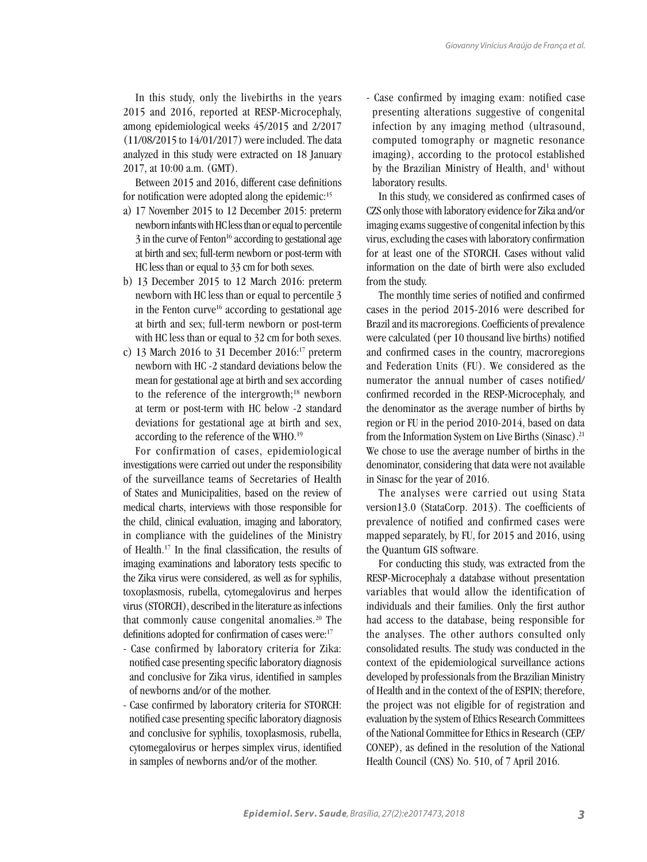In this study, only the livebirths in the years 2015 and 2016, reported at RESP-Microcephaly, among epidemiological weeks 45/2015 and 2/2017 (11/08/2015 to 14/01/2017) were included. The data analyzed in this study were extracted on 18 January 2017, at 10:00 a.m. (GMT).

Between 2015 and 2016, different case definitions for notification were adopted along the epidemic:<sup>15</sup>

- a) 17 November 2015 to 12 December 2015: preterm newborn infants with HC less than or equal to percentile 3 in the curve of Fenton<sup>16</sup> according to gestational age at birth and sex; full-term newborn or post-term with HC less than or equal to 33 cm for both sexes.
- b) 13 December 2015 to 12 March 2016: preterm newborn with HC less than or equal to percentile 3 in the Fenton curve<sup>16</sup> according to gestational age at birth and sex; full-term newborn or post-term with HC less than or equal to 32 cm for both sexes.
- c) 13 March 2016 to 31 December 2016:<sup>17</sup> preterm newborn with HC -2 standard deviations below the mean for gestational age at birth and sex according to the reference of the intergrowth;<sup>18</sup> newborn at term or post-term with HC below -2 standard deviations for gestational age at birth and sex, according to the reference of the WHO.19

For confirmation of cases, epidemiological investigations were carried out under the responsibility of the surveillance teams of Secretaries of Health of States and Municipalities, based on the review of medical charts, interviews with those responsible for the child, clinical evaluation, imaging and laboratory, in compliance with the guidelines of the Ministry of Health.17 In the final classification, the results of imaging examinations and laboratory tests specific to the Zika virus were considered, as well as for syphilis, toxoplasmosis, rubella, cytomegalovirus and herpes virus (STORCH), described in the literature as infections that commonly cause congenital anomalies.<sup>20</sup> The definitions adopted for confirmation of cases were:<sup>17</sup>

- Case confirmed by laboratory criteria for Zika: notified case presenting specific laboratory diagnosis and conclusive for Zika virus, identified in samples of newborns and/or of the mother.
- Case confirmed by laboratory criteria for STORCH: notified case presenting specific laboratory diagnosis and conclusive for syphilis, toxoplasmosis, rubella, cytomegalovirus or herpes simplex virus, identified in samples of newborns and/or of the mother.

- Case confirmed by imaging exam: notified case presenting alterations suggestive of congenital infection by any imaging method (ultrasound, computed tomography or magnetic resonance imaging), according to the protocol established by the Brazilian Ministry of Health, and<sup>1</sup> without laboratory results.

In this study, we considered as confirmed cases of CZS only those with laboratory evidence for Zika and/or imaging exams suggestive of congenital infection by this virus, excluding the cases with laboratory confirmation for at least one of the STORCH. Cases without valid information on the date of birth were also excluded from the study.

The monthly time series of notified and confirmed cases in the period 2015-2016 were described for Brazil and its macroregions. Coefficients of prevalence were calculated (per 10 thousand live births) notified and confirmed cases in the country, macroregions and Federation Units (FU). We considered as the numerator the annual number of cases notified/ confirmed recorded in the RESP-Microcephaly, and the denominator as the average number of births by region or FU in the period 2010-2014, based on data from the Information System on Live Births (Sinasc).<sup>21</sup> We chose to use the average number of births in the denominator, considering that data were not available in Sinasc for the year of 2016.

The analyses were carried out using Stata version13.0 (StataCorp. 2013). The coefficients of prevalence of notified and confirmed cases were mapped separately, by FU, for 2015 and 2016, using the Quantum GIS software.

For conducting this study, was extracted from the RESP-Microcephaly a database without presentation variables that would allow the identification of individuals and their families. Only the first author had access to the database, being responsible for the analyses. The other authors consulted only consolidated results. The study was conducted in the context of the epidemiological surveillance actions developed by professionals from the Brazilian Ministry of Health and in the context of the of ESPIN; therefore, the project was not eligible for of registration and evaluation by the system of Ethics Research Committees of the National Committee for Ethics in Research (CEP/ CONEP), as defined in the resolution of the National Health Council (CNS) No. 510, of 7 April 2016.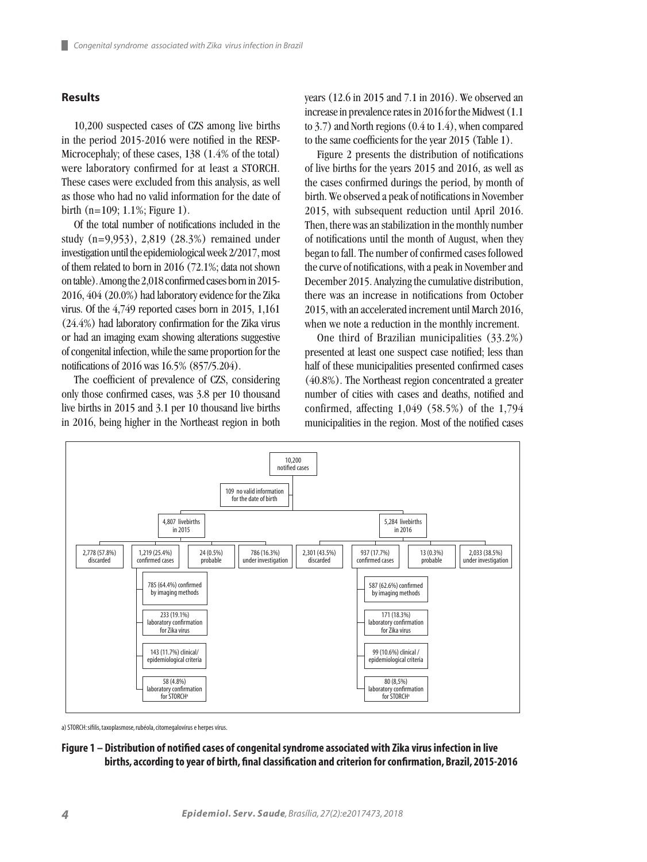#### **Results**

ш

10,200 suspected cases of CZS among live births in the period 2015-2016 were notified in the RESP-Microcephaly; of these cases, 138 (1.4% of the total) were laboratory confirmed for at least a STORCH. These cases were excluded from this analysis, as well as those who had no valid information for the date of birth (n=109; 1.1%; Figure 1).

Of the total number of notifications included in the study (n=9,953), 2,819 (28.3%) remained under investigation until the epidemiological week 2/2017, most of them related to born in 2016 (72.1%; data not shown on table). Among the 2,018 confirmed cases born in 2015- 2016, 404 (20.0%) had laboratory evidence for the Zika virus. Of the 4,749 reported cases born in 2015, 1,161 (24.4%) had laboratory confirmation for the Zika virus or had an imaging exam showing alterations suggestive of congenital infection, while the same proportion for the notifications of 2016 was 16.5% (857/5.204).

The coefficient of prevalence of CZS, considering only those confirmed cases, was 3.8 per 10 thousand live births in 2015 and 3.1 per 10 thousand live births in 2016, being higher in the Northeast region in both

years (12.6 in 2015 and 7.1 in 2016). We observed an increase in prevalence rates in 2016 for the Midwest (1.1 to 3.7) and North regions (0.4 to 1.4), when compared to the same coefficients for the year 2015 (Table 1).

Figure 2 presents the distribution of notifications of live births for the years 2015 and 2016, as well as the cases confirmed durings the period, by month of birth. We observed a peak of notifications in November 2015, with subsequent reduction until April 2016. Then, there was an stabilization in the monthly number of notifications until the month of August, when they began to fall. The number of confirmed cases followed the curve of notifications, with a peak in November and December 2015. Analyzing the cumulative distribution, there was an increase in notifications from October 2015, with an accelerated increment until March 2016, when we note a reduction in the monthly increment.

One third of Brazilian municipalities (33.2%) presented at least one suspect case notified; less than half of these municipalities presented confirmed cases (40.8%). The Northeast region concentrated a greater number of cities with cases and deaths, notified and confirmed, affecting 1,049 (58.5%) of the 1,794 municipalities in the region. Most of the notified cases



a) STORCH: sífilis, taxoplasmose, rubéola, citomegalovírus e herpes vírus.

### **Figure 1 – Distribution of notified cases of congenital syndrome associated with Zika virus infection in live births, according to year of birth, final classification and criterion for confirmation, Brazil, 2015-2016**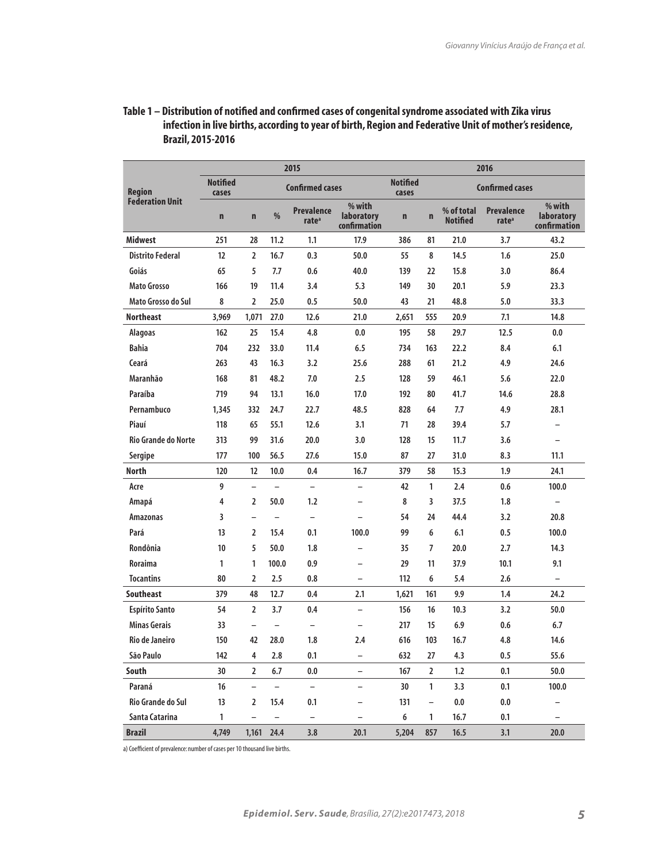# **Table 1 – Distribution of notified and confirmed cases of congenital syndrome associated with Zika virus infection in live births, according to year of birth, Region and Federative Unit of mother's residence, Brazil, 2015-2016**

|                                         | 2015                     |                          |                          |                                        |                                      | 2016                     |                          |                               |                                        |                                      |  |
|-----------------------------------------|--------------------------|--------------------------|--------------------------|----------------------------------------|--------------------------------------|--------------------------|--------------------------|-------------------------------|----------------------------------------|--------------------------------------|--|
| <b>Region</b><br><b>Federation Unit</b> | <b>Notified</b><br>cases | <b>Confirmed cases</b>   |                          |                                        |                                      | <b>Notified</b><br>cases |                          | <b>Confirmed cases</b>        |                                        |                                      |  |
|                                         | $\mathbf n$              | $\mathbf n$              | $\%$                     | <b>Prevalence</b><br>rate <sup>a</sup> | % with<br>laboratory<br>confirmation | $\mathbf n$              | $\mathbf n$              | % of total<br><b>Notified</b> | <b>Prevalence</b><br>rate <sup>a</sup> | % with<br>laboratory<br>confirmation |  |
| <b>Midwest</b>                          | 251                      | 28                       | 11.2                     | 1.1                                    | 17.9                                 | 386                      | 81                       | 21.0                          | 3.7                                    | 43.2                                 |  |
| <b>Distrito Federal</b>                 | 12                       | $\overline{2}$           | 16.7                     | 0.3                                    | 50.0                                 | 55                       | 8                        | 14.5                          | 1.6                                    | 25.0                                 |  |
| Goiás                                   | 65                       | 5                        | 7.7                      | 0.6                                    | 40.0                                 | 139                      | 22                       | 15.8                          | 3.0                                    | 86.4                                 |  |
| <b>Mato Grosso</b>                      | 166                      | 19                       | 11.4                     | 3.4                                    | 5.3                                  | 149                      | 30                       | 20.1                          | 5.9                                    | 23.3                                 |  |
| Mato Grosso do Sul                      | 8                        | $\overline{2}$           | 25.0                     | 0.5                                    | 50.0                                 | 43                       | 21                       | 48.8                          | 5.0                                    | 33.3                                 |  |
| <b>Northeast</b>                        | 3,969                    | 1,071                    | 27.0                     | 12.6                                   | 21.0                                 | 2,651                    | 555                      | 20.9                          | 7.1                                    | 14.8                                 |  |
| <b>Alagoas</b>                          | 162                      | 25                       | 15.4                     | 4.8                                    | 0.0                                  | 195                      | 58                       | 29.7                          | 12.5                                   | 0.0                                  |  |
| <b>Bahia</b>                            | 704                      | 232                      | 33.0                     | 11.4                                   | 6.5                                  | 734                      | 163                      | 22.2                          | 8.4                                    | 6.1                                  |  |
| Ceará                                   | 263                      | 43                       | 16.3                     | 3.2                                    | 25.6                                 | 288                      | 61                       | 21.2                          | 4.9                                    | 24.6                                 |  |
| Maranhão                                | 168                      | 81                       | 48.2                     | 7.0                                    | 2.5                                  | 128                      | 59                       | 46.1                          | 5.6                                    | 22.0                                 |  |
| Paraíba                                 | 719                      | 94                       | 13.1                     | 16.0                                   | 17.0                                 | 192                      | 80                       | 41.7                          | 14.6                                   | 28.8                                 |  |
| Pernambuco                              | 1,345                    | 332                      | 24.7                     | 22.7                                   | 48.5                                 | 828                      | 64                       | 7.7                           | 4.9                                    | 28.1                                 |  |
| Piauí                                   | 118                      | 65                       | 55.1                     | 12.6                                   | 3.1                                  | 71                       | 28                       | 39.4                          | 5.7                                    | $\overline{\phantom{0}}$             |  |
| <b>Rio Grande do Norte</b>              | 313                      | 99                       | 31.6                     | 20.0                                   | 3.0                                  | 128                      | 15                       | 11.7                          | 3.6                                    | $\overline{\phantom{0}}$             |  |
| Sergipe                                 | 177                      | 100                      | 56.5                     | 27.6                                   | 15.0                                 | 87                       | 27                       | 31.0                          | 8.3                                    | 11.1                                 |  |
| <b>North</b>                            | 120                      | 12                       | 10.0                     | 0.4                                    | 16.7                                 | 379                      | 58                       | 15.3                          | 1.9                                    | 24.1                                 |  |
| Acre                                    | 9                        | $\equiv$                 | $\overline{\phantom{0}}$ | $\overline{\phantom{0}}$               | $\overline{\phantom{0}}$             | 42                       | 1                        | 2.4                           | 0.6                                    | 100.0                                |  |
| Amapá                                   | 4                        | $\overline{2}$           | 50.0                     | 1.2                                    | $\overline{\phantom{0}}$             | 8                        | 3                        | 37.5                          | 1.8                                    | $\qquad \qquad -$                    |  |
| <b>Amazonas</b>                         | 3                        | $\overline{\phantom{0}}$ | $\qquad \qquad -$        | $\qquad \qquad -$                      | $\overline{\phantom{0}}$             | 54                       | 24                       | 44.4                          | 3.2                                    | 20.8                                 |  |
| Pará                                    | 13                       | $\overline{2}$           | 15.4                     | 0.1                                    | 100.0                                | 99                       | 6                        | 6.1                           | 0.5                                    | 100.0                                |  |
| Rondônia                                | 10                       | 5                        | 50.0                     | 1.8                                    | $\overline{\phantom{0}}$             | 35                       | $\overline{7}$           | 20.0                          | 2.7                                    | 14.3                                 |  |
| <b>Roraima</b>                          | 1                        | 1                        | 100.0                    | 0.9                                    | $\overline{\phantom{0}}$             | 29                       | 11                       | 37.9                          | 10.1                                   | 9.1                                  |  |
| <b>Tocantins</b>                        | 80                       | $\overline{2}$           | 2.5                      | 0.8                                    | $\overline{\phantom{0}}$             | 112                      | 6                        | 5.4                           | 2.6                                    | $\overline{\phantom{0}}$             |  |
| <b>Southeast</b>                        | 379                      | 48                       | 12.7                     | 0.4                                    | 2.1                                  | 1,621                    | 161                      | 9.9                           | 1.4                                    | 24.2                                 |  |
| <b>Espírito Santo</b>                   | 54                       | $\overline{2}$           | 3.7                      | 0.4                                    | $\overline{\phantom{0}}$             | 156                      | 16                       | 10.3                          | 3.2                                    | 50.0                                 |  |
| <b>Minas Gerais</b>                     | 33                       | $\overline{\phantom{0}}$ | $\overline{\phantom{0}}$ | $\overline{\phantom{a}}$               | $\overline{\phantom{0}}$             | 217                      | 15                       | 6.9                           | 0.6                                    | 6.7                                  |  |
| <b>Rio de Janeiro</b>                   | 150                      | 42                       | 28.0                     | 1.8                                    | 2.4                                  | 616                      | 103                      | 16.7                          | 4.8                                    | 14.6                                 |  |
| São Paulo                               | 142                      | 4                        | 2.8                      | 0.1                                    | -                                    | 632                      | 27                       | 4.3                           | 0.5                                    | 55.6                                 |  |
| South                                   | 30                       | $\overline{2}$           | $6.7$                    | $0.0\,$                                | $\overline{\phantom{0}}$             | 167                      | $\mathbf{2}$             | 1.2                           | 0.1                                    | 50.0                                 |  |
| Paraná                                  | 16                       | $\overline{\phantom{0}}$ | $\bar{ }$                | $\overline{\phantom{a}}$               | -                                    | 30                       | $\mathbf{1}$             | 3.3                           | 0.1                                    | 100.0                                |  |
| Rio Grande do Sul                       | 13                       | 2                        | 15.4                     | 0.1                                    | -                                    | 131                      | $\overline{\phantom{0}}$ | 0.0                           | $0.0\,$                                | $\qquad \qquad -$                    |  |
| Santa Catarina                          | 1                        |                          | $\overline{\phantom{0}}$ | $\overline{\phantom{0}}$               | -                                    | $\bf 6$                  | $\mathbf{1}$             | 16.7                          | 0.1                                    | $\overline{\phantom{0}}$             |  |
| <b>Brazil</b>                           | 4,749                    | 1,161                    | 24.4                     | 3.8                                    | 20.1                                 | 5,204                    | 857                      | 16.5                          | 3.1                                    | 20.0                                 |  |

a) Coefficient of prevalence: number of cases per 10 thousand live births.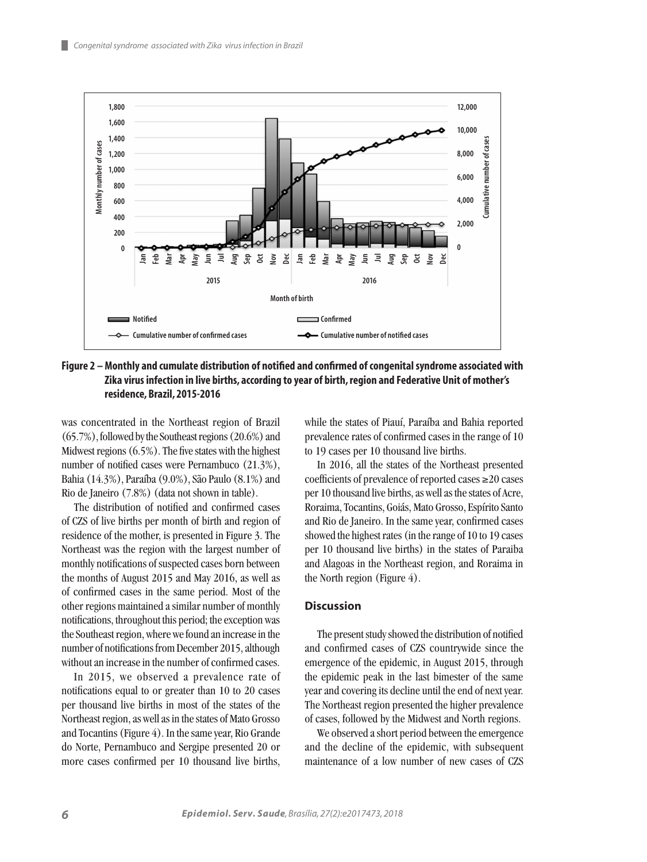ш



**Figure 2 – Monthly and cumulate distribution of notified and confirmed of congenital syndrome associated with Zika virus infection in live births, according to year of birth, region and Federative Unit of mother's residence, Brazil, 2015-2016**

was concentrated in the Northeast region of Brazil (65.7%), followed by the Southeast regions (20.6%) and Midwest regions (6.5%). The five states with the highest number of notified cases were Pernambuco (21.3%), Bahia (14.3%), Paraíba (9.0%), São Paulo (8.1%) and Rio de Janeiro (7.8%) (data not shown in table).

The distribution of notified and confirmed cases of CZS of live births per month of birth and region of residence of the mother, is presented in Figure 3. The Northeast was the region with the largest number of monthly notifications of suspected cases born between the months of August 2015 and May 2016, as well as of confirmed cases in the same period. Most of the other regions maintained a similar number of monthly notifications, throughout this period; the exception was the Southeast region, where we found an increase in the number of notifications from December 2015, although without an increase in the number of confirmed cases.

In 2015, we observed a prevalence rate of notifications equal to or greater than 10 to 20 cases per thousand live births in most of the states of the Northeast region, as well as in the states of Mato Grosso and Tocantins (Figure 4). In the same year, Rio Grande do Norte, Pernambuco and Sergipe presented 20 or more cases confirmed per 10 thousand live births, while the states of Piauí, Paraíba and Bahia reported prevalence rates of confirmed cases in the range of 10 to 19 cases per 10 thousand live births.

In 2016, all the states of the Northeast presented coefficients of prevalence of reported cases ≥20 cases per 10 thousand live births, as well as the states of Acre, Roraima, Tocantins, Goiás, Mato Grosso, Espírito Santo and Rio de Janeiro. In the same year, confirmed cases showed the highest rates (in the range of 10 to 19 cases per 10 thousand live births) in the states of Paraiba and Alagoas in the Northeast region, and Roraima in the North region (Figure 4).

### **Discussion**

The present study showed the distribution of notified and confirmed cases of CZS countrywide since the emergence of the epidemic, in August 2015, through the epidemic peak in the last bimester of the same year and covering its decline until the end of next year. The Northeast region presented the higher prevalence of cases, followed by the Midwest and North regions.

We observed a short period between the emergence and the decline of the epidemic, with subsequent maintenance of a low number of new cases of CZS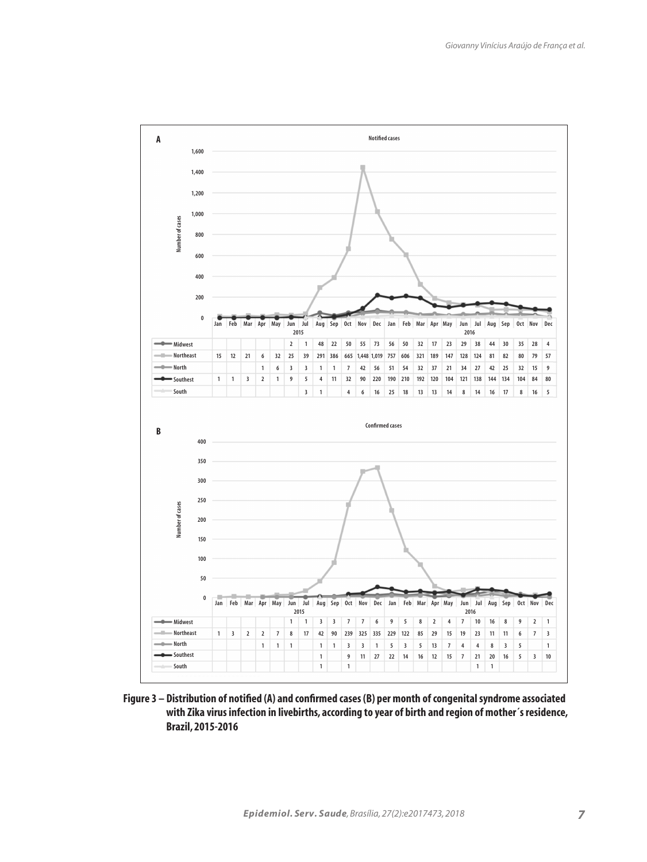

**Figure 3 – Distribution of notified (A) and confirmed cases (B) per month of congenital syndrome associated with Zika virus infection in livebirths, according to year of birth and region of mother´s residence, Brazil, 2015-2016**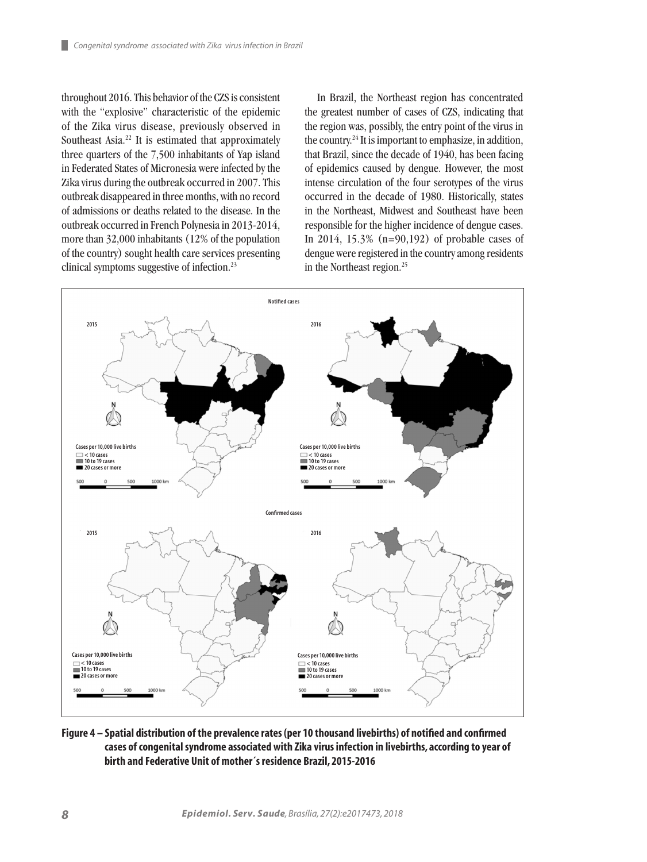throughout 2016. This behavior of the CZS is consistent with the "explosive" characteristic of the epidemic of the Zika virus disease, previously observed in Southeast Asia.<sup>22</sup> It is estimated that approximately three quarters of the 7,500 inhabitants of Yap island in Federated States of Micronesia were infected by the Zika virus during the outbreak occurred in 2007. This outbreak disappeared in three months, with no record of admissions or deaths related to the disease. In the outbreak occurred in French Polynesia in 2013-2014, more than 32,000 inhabitants (12% of the population of the country) sought health care services presenting clinical symptoms suggestive of infection.<sup>23</sup>

In Brazil, the Northeast region has concentrated the greatest number of cases of CZS, indicating that the region was, possibly, the entry point of the virus in the country.24 It is important to emphasize, in addition, that Brazil, since the decade of 1940, has been facing of epidemics caused by dengue. However, the most intense circulation of the four serotypes of the virus occurred in the decade of 1980. Historically, states in the Northeast, Midwest and Southeast have been responsible for the higher incidence of dengue cases. In 2014, 15.3% (n=90,192) of probable cases of dengue were registered in the country among residents in the Northeast region.25



# **Figure 4 – Spatial distribution of the prevalence rates (per 10 thousand livebirths) of notified and confirmed cases of congenital syndrome associated with Zika virus infection in livebirths, according to year of birth and Federative Unit of mother´s residence Brazil, 2015-2016**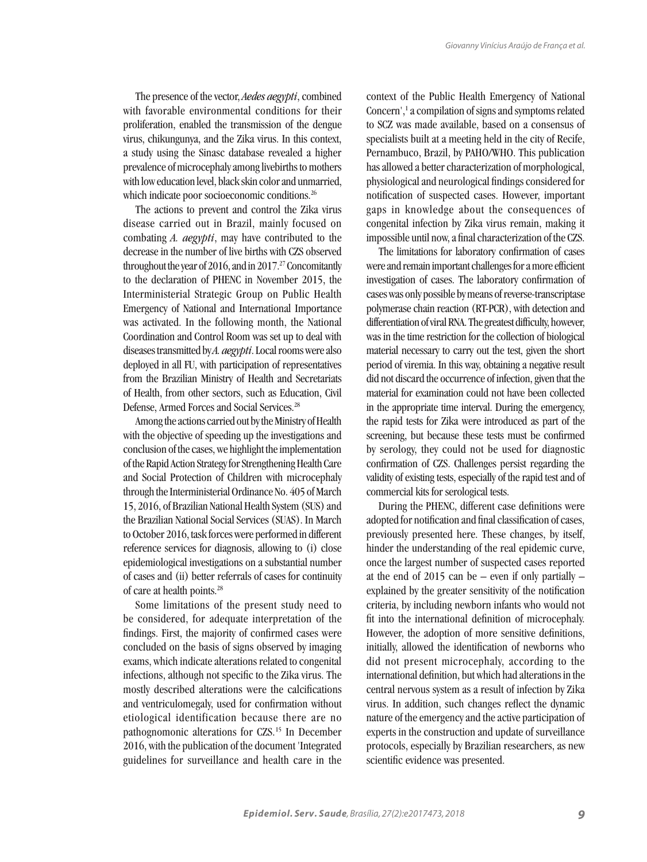The presence of the vector, *Aedes aegypti*, combined with favorable environmental conditions for their proliferation, enabled the transmission of the dengue virus, chikungunya, and the Zika virus. In this context, a study using the Sinasc database revealed a higher prevalence of microcephaly among livebirths to mothers with low education level, black skin color and unmarried, which indicate poor socioeconomic conditions.<sup>26</sup>

The actions to prevent and control the Zika virus disease carried out in Brazil, mainly focused on combating *A. aegypti*, may have contributed to the decrease in the number of live births with CZS observed throughout the year of 2016, and in  $2017<sup>27</sup>$  Concomitantly to the declaration of PHENC in November 2015, the Interministerial Strategic Group on Public Health Emergency of National and International Importance was activated. In the following month, the National Coordination and Control Room was set up to deal with diseases transmitted by *A. aegypti*. Local rooms were also deployed in all FU, with participation of representatives from the Brazilian Ministry of Health and Secretariats of Health, from other sectors, such as Education, Civil Defense, Armed Forces and Social Services.28

Among the actions carried out by the Ministry of Health with the objective of speeding up the investigations and conclusion of the cases, we highlight the implementation of the Rapid Action Strategy for Strengthening Health Care and Social Protection of Children with microcephaly through the Interministerial Ordinance No. 405 of March 15, 2016, of Brazilian National Health System (SUS) and the Brazilian National Social Services (SUAS). In March to October 2016, task forces were performed in different reference services for diagnosis, allowing to (i) close epidemiological investigations on a substantial number of cases and (ii) better referrals of cases for continuity of care at health points.28

Some limitations of the present study need to be considered, for adequate interpretation of the findings. First, the majority of confirmed cases were concluded on the basis of signs observed by imaging exams, which indicate alterations related to congenital infections, although not specific to the Zika virus. The mostly described alterations were the calcifications and ventriculomegaly, used for confirmation without etiological identification because there are no pathognomonic alterations for CZS.15 In December 2016, with the publication of the document 'Integrated guidelines for surveillance and health care in the context of the Public Health Emergency of National Concern',<sup>1</sup> a compilation of signs and symptoms related to SCZ was made available, based on a consensus of specialists built at a meeting held in the city of Recife, Pernambuco, Brazil, by PAHO/WHO. This publication has allowed a better characterization of morphological, physiological and neurological findings considered for notification of suspected cases. However, important gaps in knowledge about the consequences of congenital infection by Zika virus remain, making it impossible until now, a final characterization of the CZS.

The limitations for laboratory confirmation of cases were and remain important challenges for a more efficient investigation of cases. The laboratory confirmation of cases was only possible by means of reverse-transcriptase polymerase chain reaction (RT-PCR), with detection and differentiation of viral RNA. The greatest difficulty, however, was in the time restriction for the collection of biological material necessary to carry out the test, given the short period of viremia. In this way, obtaining a negative result did not discard the occurrence of infection, given that the material for examination could not have been collected in the appropriate time interval. During the emergency, the rapid tests for Zika were introduced as part of the screening, but because these tests must be confirmed by serology, they could not be used for diagnostic confirmation of CZS. Challenges persist regarding the validity of existing tests, especially of the rapid test and of commercial kits for serological tests.

During the PHENC, different case definitions were adopted for notification and final classification of cases, previously presented here. These changes, by itself, hinder the understanding of the real epidemic curve, once the largest number of suspected cases reported at the end of 2015 can be – even if only partially – explained by the greater sensitivity of the notification criteria, by including newborn infants who would not fit into the international definition of microcephaly. However, the adoption of more sensitive definitions, initially, allowed the identification of newborns who did not present microcephaly, according to the international definition, but which had alterations in the central nervous system as a result of infection by Zika virus. In addition, such changes reflect the dynamic nature of the emergency and the active participation of experts in the construction and update of surveillance protocols, especially by Brazilian researchers, as new scientific evidence was presented.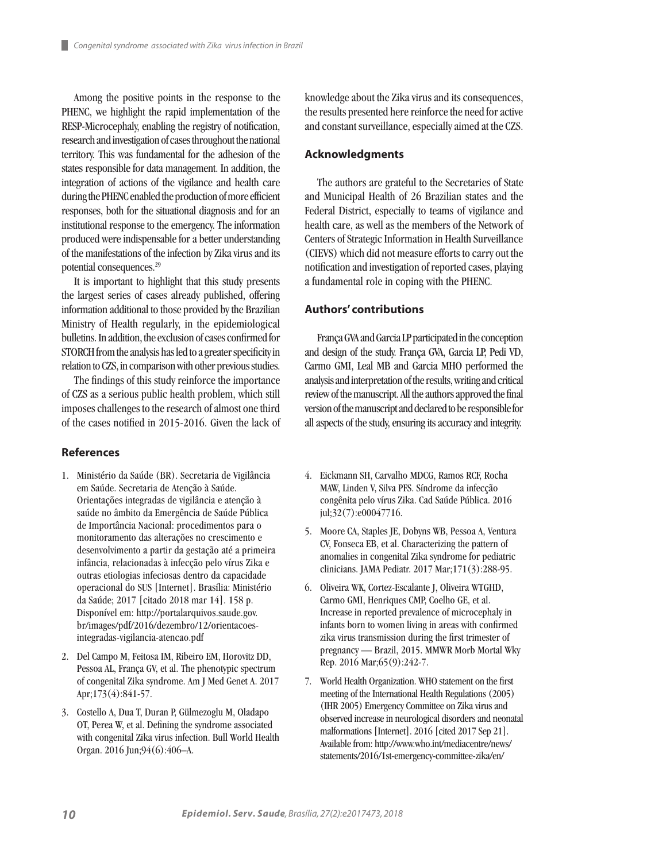Among the positive points in the response to the PHENC, we highlight the rapid implementation of the RESP-Microcephaly, enabling the registry of notification, research and investigation of cases throughout the national territory. This was fundamental for the adhesion of the states responsible for data management. In addition, the integration of actions of the vigilance and health care during the PHENC enabled the production of more efficient responses, both for the situational diagnosis and for an institutional response to the emergency. The information produced were indispensable for a better understanding of the manifestations of the infection by Zika virus and its potential consequences.29

It is important to highlight that this study presents the largest series of cases already published, offering information additional to those provided by the Brazilian Ministry of Health regularly, in the epidemiological bulletins. In addition, the exclusion of cases confirmed for STORCH from the analysis has led to a greater specificity in relation to CZS, in comparison with other previous studies.

The findings of this study reinforce the importance of CZS as a serious public health problem, which still imposes challenges to the research of almost one third of the cases notified in 2015-2016. Given the lack of

# **References**

- 1. Ministério da Saúde (BR). Secretaria de Vigilância em Saúde. Secretaria de Atenção à Saúde. Orientações integradas de vigilância e atenção à saúde no âmbito da Emergência de Saúde Pública de Importância Nacional: procedimentos para o monitoramento das alterações no crescimento e desenvolvimento a partir da gestação até a primeira infância, relacionadas à infecção pelo vírus Zika e outras etiologias infeciosas dentro da capacidade operacional do SUS [Internet]. Brasília: Ministério da Saúde; 2017 [citado 2018 mar 14]. 158 p. Disponível em: http://portalarquivos.saude.gov. br/images/pdf/2016/dezembro/12/orientacoesintegradas-vigilancia-atencao.pdf
- 2. Del Campo M, Feitosa IM, Ribeiro EM, Horovitz DD, Pessoa AL, França GV, et al. The phenotypic spectrum of congenital Zika syndrome. Am J Med Genet A. 2017 Apr;173(4):841-57.
- 3. Costello A, Dua T, Duran P, Gülmezoglu M, Oladapo OT, Perea W, et al. Defining the syndrome associated with congenital Zika virus infection. Bull World Health Organ. 2016 Jun;94(6):406–A.

knowledge about the Zika virus and its consequences, the results presented here reinforce the need for active and constant surveillance, especially aimed at the CZS.

#### **Acknowledgments**

The authors are grateful to the Secretaries of State and Municipal Health of 26 Brazilian states and the Federal District, especially to teams of vigilance and health care, as well as the members of the Network of Centers of Strategic Information in Health Surveillance (CIEVS) which did not measure efforts to carry out the notification and investigation of reported cases, playing a fundamental role in coping with the PHENC.

#### **Authors' contributions**

França GVA and Garcia LP participated in the conception and design of the study. França GVA, Garcia LP, Pedi VD, Carmo GMI, Leal MB and Garcia MHO performed the analysis and interpretation of the results, writing and critical review of the manuscript. All the authors approved the final version of the manuscript and declared to be responsible for all aspects of the study, ensuring its accuracy and integrity.

- 4. Eickmann SH, Carvalho MDCG, Ramos RCF, Rocha MAW, Linden V, Silva PFS. Síndrome da infecção congênita pelo vírus Zika. Cad Saúde Pública. 2016 jul;32(7):e00047716.
- 5. Moore CA, Staples JE, Dobyns WB, Pessoa A, Ventura CV, Fonseca EB, et al. Characterizing the pattern of anomalies in congenital Zika syndrome for pediatric clinicians. JAMA Pediatr. 2017 Mar;171(3):288-95.
- 6. Oliveira WK, Cortez-Escalante J, Oliveira WTGHD, Carmo GMI, Henriques CMP, Coelho GE, et al. Increase in reported prevalence of microcephaly in infants born to women living in areas with confirmed zika virus transmission during the first trimester of pregnancy — Brazil, 2015. MMWR Morb Mortal Wky Rep. 2016 Mar;65(9):242-7.
- 7. World Health Organization. WHO statement on the first meeting of the International Health Regulations (2005) (IHR 2005) Emergency Committee on Zika virus and observed increase in neurological disorders and neonatal malformations [Internet]. 2016 [cited 2017 Sep 21]. Available from: http://www.who.int/mediacentre/news/ statements/2016/1st-emergency-committee-zika/en/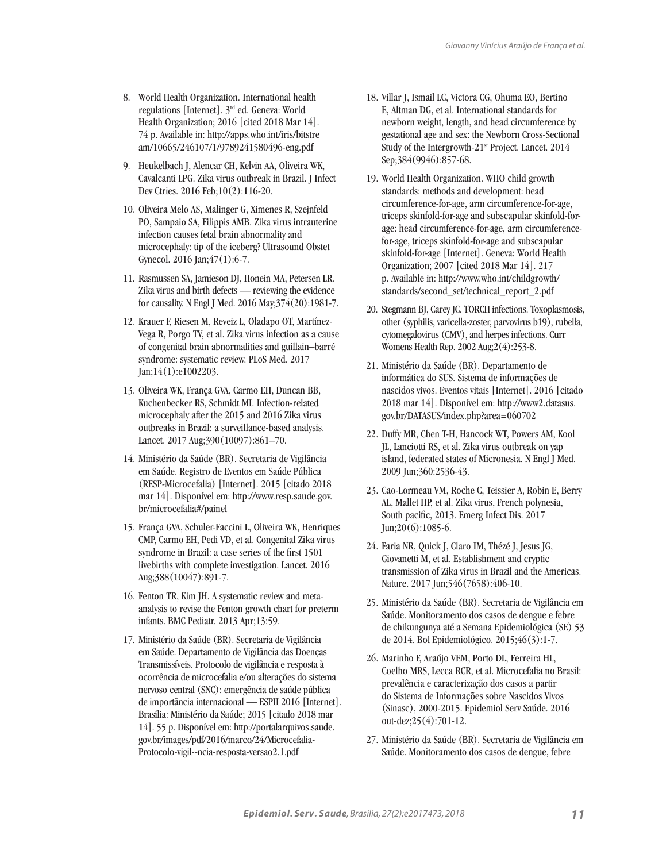- 8. World Health Organization. International health regulations [Internet]. 3rd ed. Geneva: World Health Organization; 2016 [cited 2018 Mar 14]. 74 p. Available in: http://apps.who.int/iris/bitstre am/10665/246107/1/9789241580496-eng.pdf
- 9. Heukelbach J, Alencar CH, Kelvin AA, Oliveira WK, Cavalcanti LPG. Zika virus outbreak in Brazil. J Infect Dev Ctries. 2016 Feb;10(2):116-20.
- 10. Oliveira Melo AS, Malinger G, Ximenes R, Szejnfeld PO, Sampaio SA, Filippis AMB. Zika virus intrauterine infection causes fetal brain abnormality and microcephaly: tip of the iceberg? Ultrasound Obstet Gynecol. 2016 Jan;47(1):6-7.
- 11. Rasmussen SA, Jamieson DJ, Honein MA, Petersen LR. Zika virus and birth defects — reviewing the evidence for causality. N Engl J Med. 2016 May;374(20):1981-7.
- 12. Krauer F, Riesen M, Reveiz L, Oladapo OT, Martínez-Vega R, Porgo TV, et al. Zika virus infection as a cause of congenital brain abnormalities and guillain–barré syndrome: systematic review. PLoS Med. 2017 Jan;14(1):e1002203.
- 13. Oliveira WK, França GVA, Carmo EH, Duncan BB, Kuchenbecker RS, Schmidt MI. Infection-related microcephaly after the 2015 and 2016 Zika virus outbreaks in Brazil: a surveillance-based analysis. Lancet. 2017 Aug;390(10097):861–70.
- 14. Ministério da Saúde (BR). Secretaria de Vigilância em Saúde. Registro de Eventos em Saúde Pública (RESP-Microcefalia) [Internet]. 2015 [citado 2018 mar 14]. Disponível em: http://www.resp.saude.gov. br/microcefalia#/painel
- 15. França GVA, Schuler-Faccini L, Oliveira WK, Henriques CMP, Carmo EH, Pedi VD, et al. Congenital Zika virus syndrome in Brazil: a case series of the first 1501 livebirths with complete investigation. Lancet. 2016 Aug;388(10047):891-7.
- 16. Fenton TR, Kim JH. A systematic review and metaanalysis to revise the Fenton growth chart for preterm infants. BMC Pediatr. 2013 Apr;13:59.
- 17. Ministério da Saúde (BR). Secretaria de Vigilância em Saúde. Departamento de Vigilância das Doenças Transmissíveis. Protocolo de vigilância e resposta à ocorrência de microcefalia e/ou alterações do sistema nervoso central (SNC): emergência de saúde pública de importância internacional — ESPII 2016 [Internet]. Brasília: Ministério da Saúde; 2015 [citado 2018 mar 14]. 55 p. Disponível em: http://portalarquivos.saude. gov.br/images/pdf/2016/marco/24/Microcefalia-Protocolo-vigil--ncia-resposta-versao2.1.pdf
- 18. Villar J, Ismail LC, Victora CG, Ohuma EO, Bertino E, Altman DG, et al. International standards for newborn weight, length, and head circumference by gestational age and sex: the Newborn Cross-Sectional Study of the Intergrowth-21st Project. Lancet. 2014 Sep;384(9946):857-68.
- 19. World Health Organization. WHO child growth standards: methods and development: head circumference-for-age, arm circumference-for-age, triceps skinfold-for-age and subscapular skinfold-forage: head circumference-for-age, arm circumferencefor-age, triceps skinfold-for-age and subscapular skinfold-for-age [Internet]. Geneva: World Health Organization; 2007 [cited 2018 Mar 14]. 217 p. Available in: http://www.who.int/childgrowth/ standards/second\_set/technical\_report\_2.pdf
- 20. Stegmann BJ, Carey JC. TORCH infections. Toxoplasmosis, other (syphilis, varicella-zoster, parvovirus b19), rubella, cytomegalovirus (CMV), and herpes infections. Curr Womens Health Rep. 2002 Aug;2(4):253-8.
- 21. Ministério da Saúde (BR). Departamento de informática do SUS. Sistema de informações de nascidos vivos. Eventos vitais [Internet]. 2016 [citado 2018 mar 14]. Disponível em: http://www2.datasus. gov.br/DATASUS/index.php?area=060702
- 22. Duffy MR, Chen T-H, Hancock WT, Powers AM, Kool JL, Lanciotti RS, et al. Zika virus outbreak on yap island, federated states of Micronesia. N Engl J Med. 2009 Jun;360:2536-43.
- 23. Cao-Lormeau VM, Roche C, Teissier A, Robin E, Berry AL, Mallet HP, et al. Zika virus, French polynesia, South pacific, 2013. Emerg Infect Dis. 2017 Jun;20(6):1085-6.
- 24. Faria NR, Quick J, Claro IM, Thézé J, Jesus JG, Giovanetti M, et al. Establishment and cryptic transmission of Zika virus in Brazil and the Americas. Nature. 2017 Jun;546(7658):406-10.
- 25. Ministério da Saúde (BR). Secretaria de Vigilância em Saúde. Monitoramento dos casos de dengue e febre de chikungunya até a Semana Epidemiológica (SE) 53 de 2014. Bol Epidemiológico. 2015;46(3):1-7.
- 26. Marinho F, Araújo VEM, Porto DL, Ferreira HL, Coelho MRS, Lecca RCR, et al. Microcefalia no Brasil: prevalência e caracterização dos casos a partir do Sistema de Informações sobre Nascidos Vivos (Sinasc), 2000-2015. Epidemiol Serv Saúde. 2016 out-dez;25(4):701-12.
- 27. Ministério da Saúde (BR). Secretaria de Vigilância em Saúde. Monitoramento dos casos de dengue, febre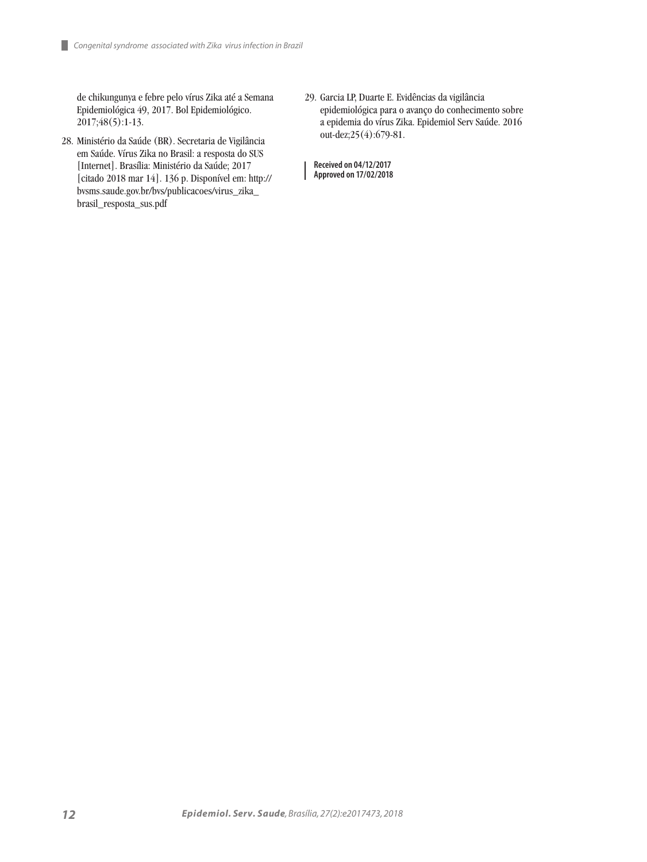de chikungunya e febre pelo vírus Zika até a Semana Epidemiológica 49, 2017. Bol Epidemiológico. 2017;48(5):1-13.

- 28. Ministério da Saúde (BR). Secretaria de Vigilância em Saúde. Vírus Zika no Brasil: a resposta do SUS [Internet]. Brasília: Ministério da Saúde; 2017 [citado 2018 mar 14]. 136 p. Disponível em: http:// bvsms.saude.gov.br/bvs/publicacoes/virus\_zika\_ brasil\_resposta\_sus.pdf
- 29. Garcia LP, Duarte E. Evidências da vigilância epidemiológica para o avanço do conhecimento sobre a epidemia do vírus Zika. Epidemiol Serv Saúde. 2016 out-dez;25(4):679-81.

**Received on 04/12/2017 Approved on 17/02/2018**